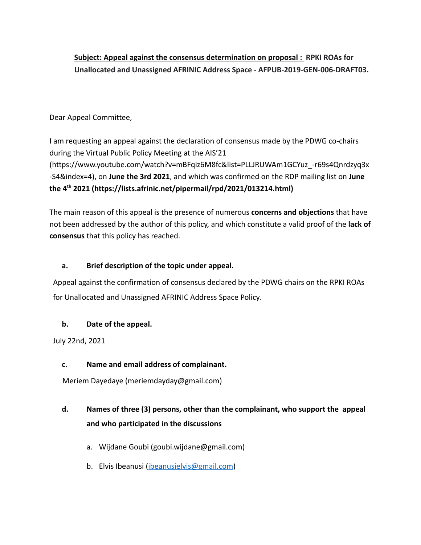# **Subject: Appeal against the consensus determination on proposal : RPKI ROAs for Unallocated and Unassigned AFRINIC Address Space - AFPUB-2019-GEN-006-DRAFT03.**

### Dear Appeal Committee,

I am requesting an appeal against the declaration of consensus made by the PDWG co-chairs during the Virtual Public Policy Meeting at the AIS'21 (https://www.youtube.com/watch?v=mBFqiz6M8fc&list=PLLJRUWAm1GCYuz\_-r69s4Qnrdzyq3x -S4&index=4), on **June the 3rd 2021**, and which was confirmed on the RDP mailing list on **June the 4th 2021 (https://lists.afrinic.net/pipermail/rpd/2021/013214.html)**

The main reason of this appeal is the presence of numerous **concerns and objections** that have not been addressed by the author of this policy, and which constitute a valid proof of the **lack of consensus** that this policy has reached.

### **a. Brief description of the topic under appeal.**

Appeal against the confirmation of consensus declared by the PDWG chairs on the RPKI ROAs for Unallocated and Unassigned AFRINIC Address Space Policy.

### **b. Date of the appeal.**

July 22nd, 2021

# **c. Name and email address of complainant.**

Meriem Dayedaye (meriemdayday@gmail.com)

# **d. Names of three (3) persons, other than the complainant, who support the appeal and who participated in the discussions**

- a. Wijdane Goubi (goubi.wijdane@gmail.com)
- b. Elvis Ibeanusi ([ibeanusielvis@gmail.com](mailto:ibeanusielvis@gmail.com))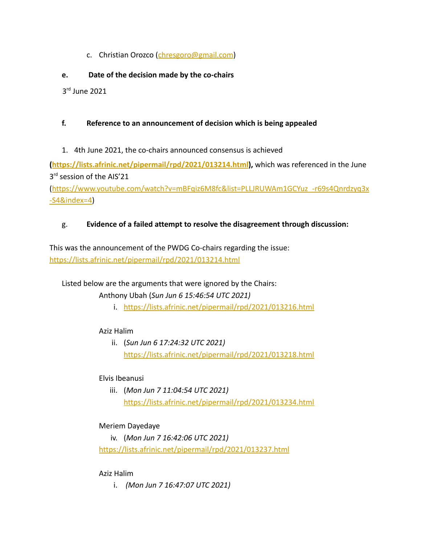c. Christian Orozco ([chresgoro@gmail.com](mailto:chresgoro@gmail.com))

### **e. Date of the decision made by the co-chairs**

3 rd June 2021

### **f. Reference to an announcement of decision which is being appealed**

1. 4th June 2021, the co-chairs announced consensus is achieved

**(<https://lists.afrinic.net/pipermail/rpd/2021/013214.html>),** which was referenced in the June 3<sup>rd</sup> session of the AIS'21

([https://www.youtube.com/watch?v=mBFqiz6M8fc&list=PLLJRUWAm1GCYuz\\_-r69s4Qnrdzyq3x](https://www.youtube.com/watch?v=mBFqiz6M8fc&list=PLLJRUWAm1GCYuz_-r69s4Qnrdzyq3x-S4&index=4) [-S4&index=4\)](https://www.youtube.com/watch?v=mBFqiz6M8fc&list=PLLJRUWAm1GCYuz_-r69s4Qnrdzyq3x-S4&index=4)

### g. **Evidence of a failed attempt to resolve the disagreement through discussion:**

This was the announcement of the PWDG Co-chairs regarding the issue: <https://lists.afrinic.net/pipermail/rpd/2021/013214.html>

Listed below are the arguments that were ignored by the Chairs:

Anthony Ubah (*Sun Jun 6 15:46:54 UTC 2021)*

i. <https://lists.afrinic.net/pipermail/rpd/2021/013216.html>

### Aziz Halim

ii. (*Sun Jun 6 17:24:32 UTC 2021)* <https://lists.afrinic.net/pipermail/rpd/2021/013218.html>

### Elvis Ibeanusi

iii. (*Mon Jun 7 11:04:54 UTC 2021)* <https://lists.afrinic.net/pipermail/rpd/2021/013234.html>

# Meriem Dayedaye

iv. (*Mon Jun 7 16:42:06 UTC 2021)* <https://lists.afrinic.net/pipermail/rpd/2021/013237.html>

### Aziz Halim

i. *(Mon Jun 7 16:47:07 UTC 2021)*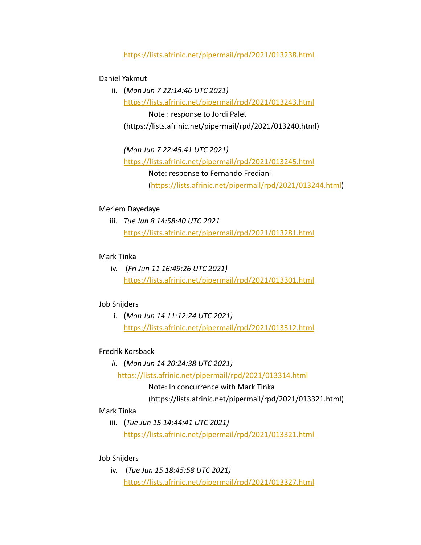#### <https://lists.afrinic.net/pipermail/rpd/2021/013238.html>

#### Daniel Yakmut

ii. (*Mon Jun 7 22:14:46 UTC 2021)* <https://lists.afrinic.net/pipermail/rpd/2021/013243.html> Note : response to Jordi Palet (https://lists.afrinic.net/pipermail/rpd/2021/013240.html)

*(Mon Jun 7 22:45:41 UTC 2021)* <https://lists.afrinic.net/pipermail/rpd/2021/013245.html> Note: response to Fernando Frediani ([https://lists.afrinic.net/pipermail/rpd/2021/013244.html\)](https://lists.afrinic.net/pipermail/rpd/2021/013244.html)

#### Meriem Dayedaye

iii. *Tue Jun 8 14:58:40 UTC 2021* <https://lists.afrinic.net/pipermail/rpd/2021/013281.html>

#### Mark Tinka

iv. (*Fri Jun 11 16:49:26 UTC 2021)* <https://lists.afrinic.net/pipermail/rpd/2021/013301.html>

#### Job Snijders

i. (*Mon Jun 14 11:12:24 UTC 2021)* <https://lists.afrinic.net/pipermail/rpd/2021/013312.html>

#### Fredrik Korsback

*ii.* (*Mon Jun 14 20:24:38 UTC 2021)* <https://lists.afrinic.net/pipermail/rpd/2021/013314.html> Note: In concurrence with Mark Tinka

(https://lists.afrinic.net/pipermail/rpd/2021/013321.html)

#### Mark Tinka

iii. (*Tue Jun 15 14:44:41 UTC 2021)* <https://lists.afrinic.net/pipermail/rpd/2021/013321.html>

#### Job Snijders

iv. (*Tue Jun 15 18:45:58 UTC 2021)* <https://lists.afrinic.net/pipermail/rpd/2021/013327.html>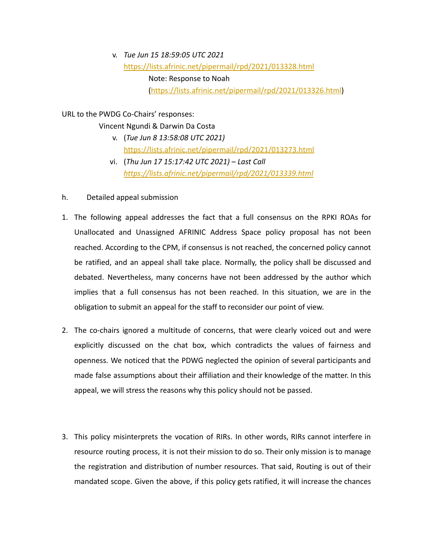v. *Tue Jun 15 18:59:05 UTC 2021* <https://lists.afrinic.net/pipermail/rpd/2021/013328.html> Note: Response to Noah ([https://lists.afrinic.net/pipermail/rpd/2021/013326.html\)](https://lists.afrinic.net/pipermail/rpd/2021/013326.html)

URL to the PWDG Co-Chairs' responses:

#### Vincent Ngundi & Darwin Da Costa

- v. (*Tue Jun 8 13:58:08 UTC 2021)* <https://lists.afrinic.net/pipermail/rpd/2021/013273.html>
- vi. (*Thu Jun 17 15:17:42 UTC 2021) Last Call <https://lists.afrinic.net/pipermail/rpd/2021/013339.html>*
- h. Detailed appeal submission
- 1. The following appeal addresses the fact that a full consensus on the RPKI ROAs for Unallocated and Unassigned AFRINIC Address Space policy proposal has not been reached. According to the CPM, if consensus is not reached, the concerned policy cannot be ratified, and an appeal shall take place. Normally, the policy shall be discussed and debated. Nevertheless, many concerns have not been addressed by the author which implies that a full consensus has not been reached. In this situation, we are in the obligation to submit an appeal for the staff to reconsider our point of view.
- 2. The co-chairs ignored a multitude of concerns, that were clearly voiced out and were explicitly discussed on the chat box, which contradicts the values of fairness and openness. We noticed that the PDWG neglected the opinion of several participants and made false assumptions about their affiliation and their knowledge of the matter. In this appeal, we will stress the reasons why this policy should not be passed.
- 3. This policy misinterprets the vocation of RIRs. In other words, RIRs cannot interfere in resource routing process, it is not their mission to do so. Their only mission is to manage the registration and distribution of number resources. That said, Routing is out of their mandated scope. Given the above, if this policy gets ratified, it will increase the chances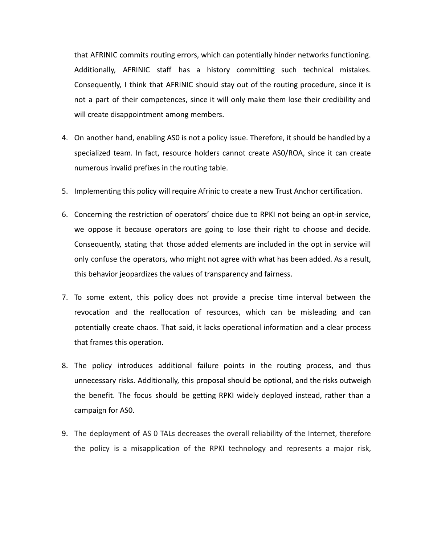that AFRINIC commits routing errors, which can potentially hinder networks functioning. Additionally, AFRINIC staff has a history committing such technical mistakes. Consequently, I think that AFRINIC should stay out of the routing procedure, since it is not a part of their competences, since it will only make them lose their credibility and will create disappointment among members.

- 4. On another hand, enabling AS0 is not a policy issue. Therefore, it should be handled by a specialized team. In fact, resource holders cannot create AS0/ROA, since it can create numerous invalid prefixes in the routing table.
- 5. Implementing this policy will require Afrinic to create a new Trust Anchor certification.
- 6. Concerning the restriction of operators' choice due to RPKI not being an opt-in service, we oppose it because operators are going to lose their right to choose and decide. Consequently, stating that those added elements are included in the opt in service will only confuse the operators, who might not agree with what has been added. As a result, this behavior jeopardizes the values of transparency and fairness.
- 7. To some extent, this policy does not provide a precise time interval between the revocation and the reallocation of resources, which can be misleading and can potentially create chaos. That said, it lacks operational information and a clear process that frames this operation.
- 8. The policy introduces additional failure points in the routing process, and thus unnecessary risks. Additionally, this proposal should be optional, and the risks outweigh the benefit. The focus should be getting RPKI widely deployed instead, rather than a campaign for AS0.
- 9. The deployment of AS 0 TALs decreases the overall reliability of the Internet, therefore the policy is a misapplication of the RPKI technology and represents a major risk,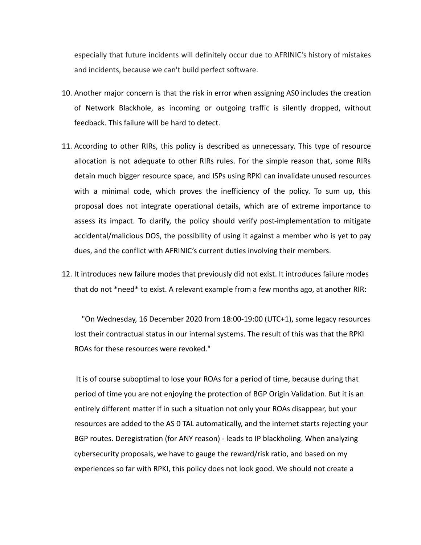especially that future incidents will definitely occur due to AFRINIC's history of mistakes and incidents, because we can't build perfect software.

- 10. Another major concern is that the risk in error when assigning AS0 includes the creation of Network Blackhole, as incoming or outgoing traffic is silently dropped, without feedback. This failure will be hard to detect.
- 11. According to other RIRs, this policy is described as unnecessary. This type of resource allocation is not adequate to other RIRs rules. For the simple reason that, some RIRs detain much bigger resource space, and ISPs using RPKI can invalidate unused resources with a minimal code, which proves the inefficiency of the policy. To sum up, this proposal does not integrate operational details, which are of extreme importance to assess its impact. To clarify, the policy should verify post-implementation to mitigate accidental/malicious DOS, the possibility of using it against a member who is yet to pay dues, and the conflict with AFRINIC's current duties involving their members.
- 12. It introduces new failure modes that previously did not exist. It introduces failure modes that do not \*need\* to exist. A relevant example from a few months ago, at another RIR:

"On Wednesday, 16 December 2020 from 18:00-19:00 (UTC+1), some legacy resources lost their contractual status in our internal systems. The result of this was that the RPKI ROAs for these resources were revoked."

It is of course suboptimal to lose your ROAs for a period of time, because during that period of time you are not enjoying the protection of BGP Origin Validation. But it is an entirely different matter if in such a situation not only your ROAs disappear, but your resources are added to the AS 0 TAL automatically, and the internet starts rejecting your BGP routes. Deregistration (for ANY reason) - leads to IP blackholing. When analyzing cybersecurity proposals, we have to gauge the reward/risk ratio, and based on my experiences so far with RPKI, this policy does not look good. We should not create a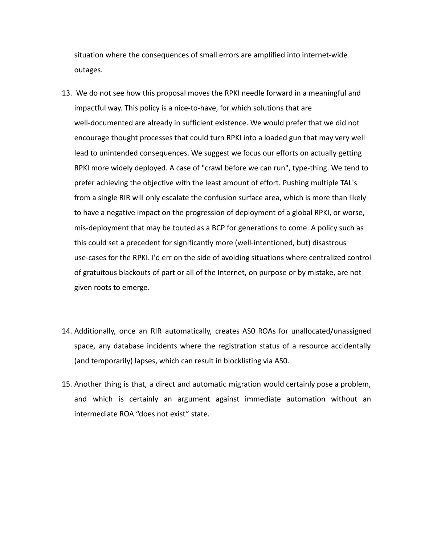situation where the consequences of small errors are amplified into internet-wide outages.

- 13. We do not see how this proposal moves the RPKI needle forward in a meaningful and impactful way. This policy is a nice-to-have, for which solutions that are well-documented are already in sufficient existence. We would prefer that we did not encourage thought processes that could turn RPKI into a loaded gun that may very well lead to unintended consequences. We suggest we focus our efforts on actually getting RPKI more widely deployed. A case of "crawl before we can run", type-thing. We tend to prefer achieving the objective with the least amount of effort. Pushing multiple TAL's from a single RIR will only escalate the confusion surface area, which is more than likely to have a negative impact on the progression of deployment of a global RPKI, or worse, mis-deployment that may be touted as a BCP for generations to come. A policy such as this could set a precedent for significantly more (well-intentioned, but) disastrous use-cases for the RPKI. I'd err on the side of avoiding situations where centralized control of gratuitous blackouts of part or all of the Internet, on purpose or by mistake, are not given roots to emerge.
- 14. Additionally, once an RIR automatically, creates AS0 ROAs for unallocated/unassigned space, any database incidents where the registration status of a resource accidentally (and temporarily) lapses, which can result in blocklisting via AS0.
- 15. Another thing is that, a direct and automatic migration would certainly pose a problem, and which is certainly an argument against immediate automation without an intermediate ROA "does not exist" state.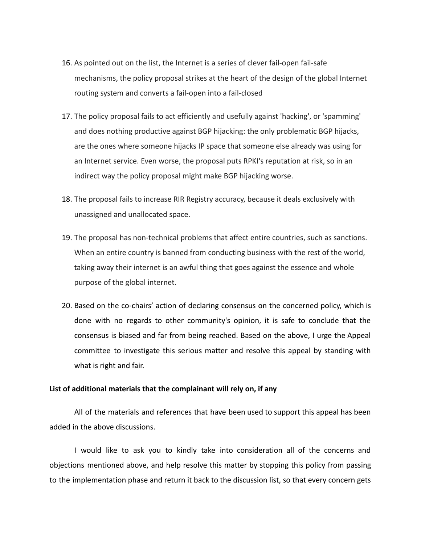- 16. As pointed out on the list, the Internet is a series of clever fail-open fail-safe mechanisms, the policy proposal strikes at the heart of the design of the global Internet routing system and converts a fail-open into a fail-closed
- 17. The policy proposal fails to act efficiently and usefully against 'hacking', or 'spamming' and does nothing productive against BGP hijacking: the only problematic BGP hijacks, are the ones where someone hijacks IP space that someone else already was using for an Internet service. Even worse, the proposal puts RPKI's reputation at risk, so in an indirect way the policy proposal might make BGP hijacking worse.
- 18. The proposal fails to increase RIR Registry accuracy, because it deals exclusively with unassigned and unallocated space.
- 19. The proposal has non-technical problems that affect entire countries, such as sanctions. When an entire country is banned from conducting business with the rest of the world, taking away their internet is an awful thing that goes against the essence and whole purpose of the global internet.
- 20. Based on the co-chairs' action of declaring consensus on the concerned policy, which is done with no regards to other community's opinion, it is safe to conclude that the consensus is biased and far from being reached. Based on the above, I urge the Appeal committee to investigate this serious matter and resolve this appeal by standing with what is right and fair.

#### **List of additional materials that the complainant will rely on, if any**

All of the materials and references that have been used to support this appeal has been added in the above discussions.

I would like to ask you to kindly take into consideration all of the concerns and objections mentioned above, and help resolve this matter by stopping this policy from passing to the implementation phase and return it back to the discussion list, so that every concern gets